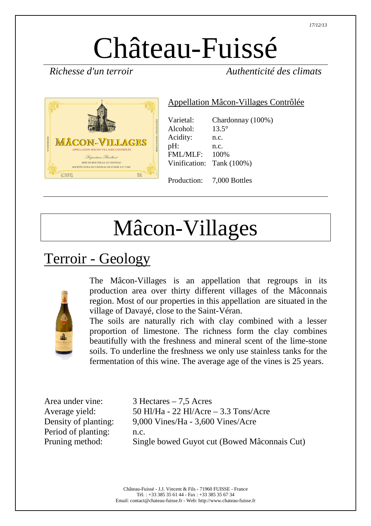# Château-Fuissé

*Richesse d'un terroir Authenticité des climats* 



#### Appellation Mâcon-Villages Contrôlée

| Varietal:       | Chardonnay (100%)         |
|-----------------|---------------------------|
| Alcohol:        | $13.5^\circ$              |
| Acidity:        | n.c.                      |
| pH:             | n.c.                      |
| <b>FML/MLF:</b> | 100\%                     |
|                 | Vinification: Tank (100%) |
|                 |                           |
|                 | Production: 7,000 Bottles |

## Mâcon-Villages

### Terroir - Geology



The Mâcon-Villages is an appellation that regroups in its production area over thirty different villages of the Mâconnais region. Most of our properties in this appellation are situated in the village of Davayé, close to the Saint-Véran.

The soils are naturally rich with clay combined with a lesser proportion of limestone. The richness form the clay combines beautifully with the freshness and mineral scent of the lime-stone soils. To underline the freshness we only use stainless tanks for the fermentation of this wine. The average age of the vines is 25 years.

Period of planting: n.c.

Area under vine: 3 Hectares – 7,5 Acres Average yield: 50 Hl/Ha - 22 Hl/Acre – 3.3 Tons/Acre Density of planting: 9,000 Vines/Ha - 3,600 Vines/Acre Pruning method: Single bowed Guyot cut (Bowed Mâconnais Cut)